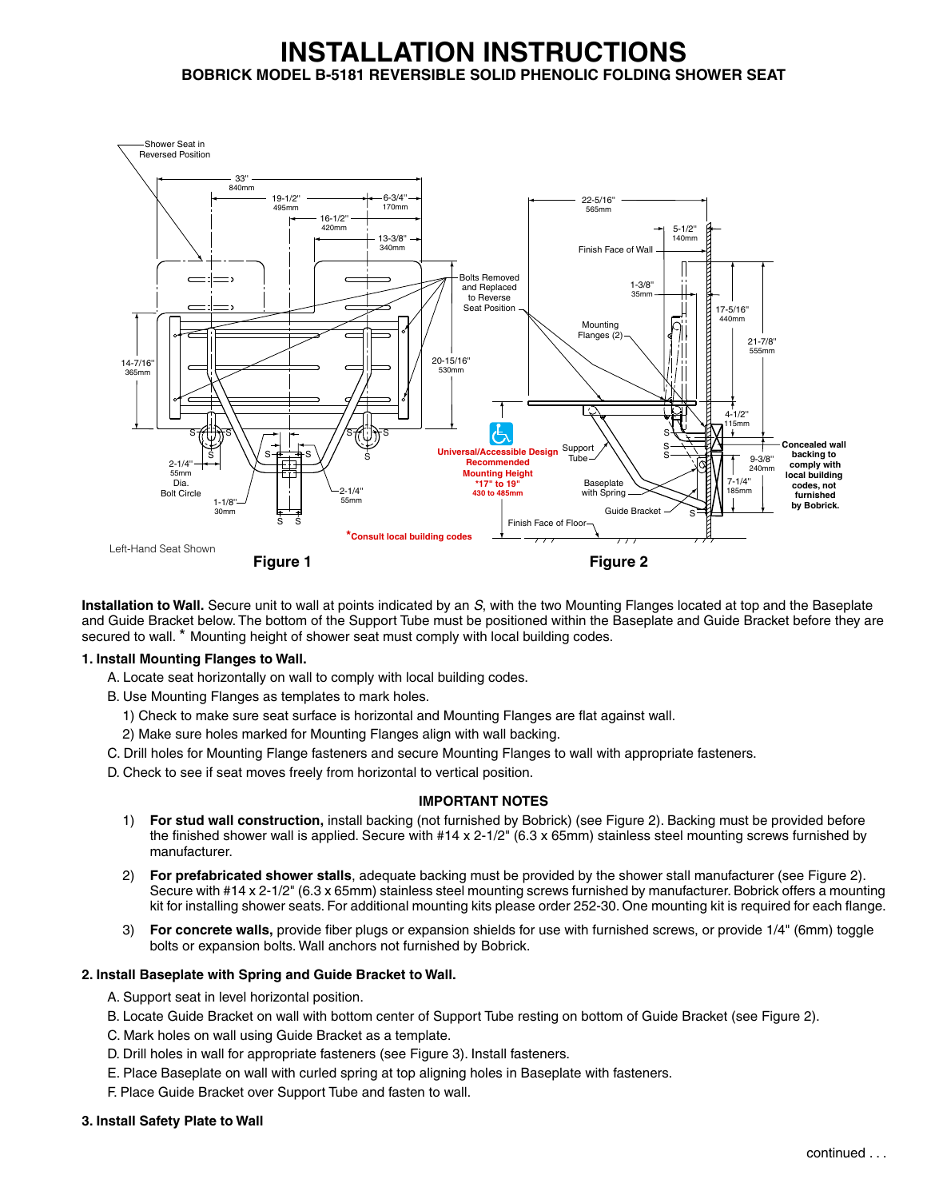# **INSTALLATION INSTRUCTIONS BOBRICK MODEL B-5181 REVERSIBLE SOLID PHENOLIC FOLDING SHOWER SEAT**



**Installation to Wall.** Secure unit to wall at points indicated by an *S*, with the two Mounting Flanges located at top and the Baseplate and Guide Bracket below. The bottom of the Support Tube must be positioned within the Baseplate and Guide Bracket before they are secured to wall. \* Mounting height of shower seat must comply with local building codes.

# **1. Install Mounting Flanges to Wall.**

A. Locate seat horizontally on wall to comply with local building codes.

B. Use Mounting Flanges as templates to mark holes.

- 1) Check to make sure seat surface is horizontal and Mounting Flanges are flat against wall.
- 2) Make sure holes marked for Mounting Flanges align with wall backing.
- C. Drill holes for Mounting Flange fasteners and secure Mounting Flanges to wall with appropriate fasteners.
- D. Check to see if seat moves freely from horizontal to vertical position.

# **IMPORTANT NOTES**

- 1) **For stud wall construction,** install backing (not furnished by Bobrick) (see Figure 2). Backing must be provided before the finished shower wall is applied. Secure with #14 x 2-1/2" (6.3 x 65mm) stainless steel mounting screws furnished by manufacturer.
- 2) **For prefabricated shower stalls**, adequate backing must be provided by the shower stall manufacturer (see Figure 2). Secure with #14 x 2-1/2" (6.3 x 65mm) stainless steel mounting screws furnished by manufacturer. Bobrick offers a mounting kit for installing shower seats. For additional mounting kits please order 252-30. One mounting kit is required for each flange.
- 3) **For concrete walls,** provide fiber plugs or expansion shields for use with furnished screws, or provide 1/4" (6mm) toggle bolts or expansion bolts. Wall anchors not furnished by Bobrick.

# **2. Install Baseplate with Spring and Guide Bracket to Wall.**

- A. Support seat in level horizontal position.
- B. Locate Guide Bracket on wall with bottom center of Support Tube resting on bottom of Guide Bracket (see Figure 2).
- C. Mark holes on wall using Guide Bracket as a template.
- D. Drill holes in wall for appropriate fasteners (see Figure 3). Install fasteners.
- E. Place Baseplate on wall with curled spring at top aligning holes in Baseplate with fasteners.
- F. Place Guide Bracket over Support Tube and fasten to wall.

# **3. Install Safety Plate to Wall**